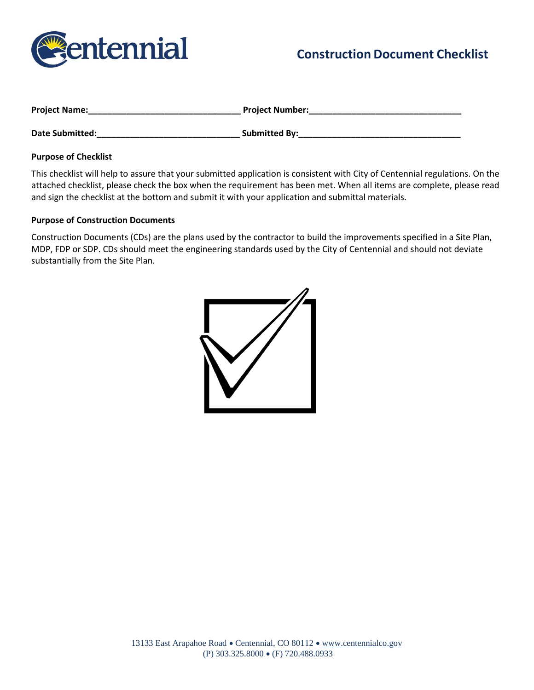

# **Construction Document Checklist**

| <b>Project Name:</b>   | <b>Project Number:</b> |
|------------------------|------------------------|
| <b>Date Submitted:</b> | <b>Submitted By:</b>   |

#### **Purpose of Checklist**

This checklist will help to assure that your submitted application is consistent with City of Centennial regulations. On the attached checklist, please check the box when the requirement has been met. When all items are complete, please read and sign the checklist at the bottom and submit it with your application and submittal materials.

#### **Purpose of Construction Documents**

Construction Documents (CDs) are the plans used by the contractor to build the improvements specified in a Site Plan, MDP, FDP or SDP. CDs should meet the engineering standards used by the City of Centennial and should not deviate substantially from the Site Plan.

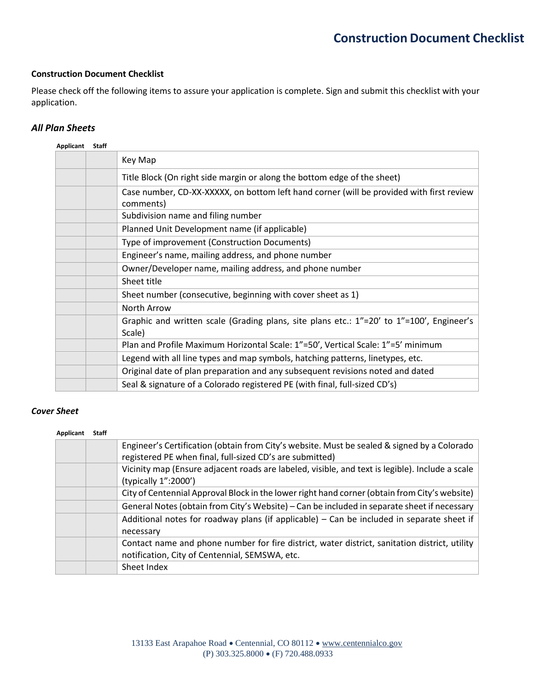#### **Construction Document Checklist**

Please check off the following items to assure your application is complete. Sign and submit this checklist with your application.

### *All Plan Sheets*

| ation.                    |       | echeck off the following items to assure your application is complete. Sign and submit this checklist with your                                         |
|---------------------------|-------|---------------------------------------------------------------------------------------------------------------------------------------------------------|
| an Sheets                 |       |                                                                                                                                                         |
| <b>Applicant</b>          | Staff |                                                                                                                                                         |
|                           |       | Key Map                                                                                                                                                 |
|                           |       | Title Block (On right side margin or along the bottom edge of the sheet)                                                                                |
|                           |       | Case number, CD-XX-XXXXX, on bottom left hand corner (will be provided with first review<br>comments)                                                   |
|                           |       | Subdivision name and filing number                                                                                                                      |
|                           |       | Planned Unit Development name (if applicable)                                                                                                           |
|                           |       | Type of improvement (Construction Documents)                                                                                                            |
|                           |       | Engineer's name, mailing address, and phone number<br>Owner/Developer name, mailing address, and phone number                                           |
|                           |       | Sheet title                                                                                                                                             |
|                           |       | Sheet number (consecutive, beginning with cover sheet as 1)                                                                                             |
|                           |       | North Arrow                                                                                                                                             |
|                           |       | Graphic and written scale (Grading plans, site plans etc.: 1"=20' to 1"=100', Engineer's<br>Scale)                                                      |
|                           |       | Plan and Profile Maximum Horizontal Scale: 1"=50', Vertical Scale: 1"=5' minimum                                                                        |
|                           |       | Legend with all line types and map symbols, hatching patterns, linetypes, etc.                                                                          |
|                           |       | Original date of plan preparation and any subsequent revisions noted and dated                                                                          |
|                           |       | Seal & signature of a Colorado registered PE (with final, full-sized CD's)                                                                              |
| <b>Sheet</b><br>Applicant | Staff | Engineer's Certification (obtain from City's website. Must be sealed & signed by a Colorado<br>registered PE when final, full-sized CD's are submitted) |
|                           |       | Vicinity map (Ensure adjacent roads are labeled, visible, and text is legible). Include a scale<br>(typically 1":2000')                                 |
|                           |       |                                                                                                                                                         |
|                           |       | City of Centennial Approval Block in the lower right hand corner (obtain from City's website)                                                           |
|                           |       | General Notes (obtain from City's Website) - Can be included in separate sheet if necessary                                                             |
|                           |       | Additional notes for roadway plans (if applicable) $-$ Can be included in separate sheet if<br>necessary                                                |
|                           |       | Contact name and phone number for fire district, water district, sanitation district, utility<br>notification, City of Centennial, SEMSWA, etc.         |

## *Cover Sheet*

#### **Applicant Staff**

| Engineer's Certification (obtain from City's website. Must be sealed & signed by a Colorado<br>registered PE when final, full-sized CD's are submitted) |
|---------------------------------------------------------------------------------------------------------------------------------------------------------|
| Vicinity map (Ensure adjacent roads are labeled, visible, and text is legible). Include a scale<br>(typically 1":2000')                                 |
| City of Centennial Approval Block in the lower right hand corner (obtain from City's website)                                                           |
| General Notes (obtain from City's Website) – Can be included in separate sheet if necessary                                                             |
| Additional notes for roadway plans (if applicable) - Can be included in separate sheet if<br>necessary                                                  |
| Contact name and phone number for fire district, water district, sanitation district, utility<br>notification, City of Centennial, SEMSWA, etc.         |
| Sheet Index                                                                                                                                             |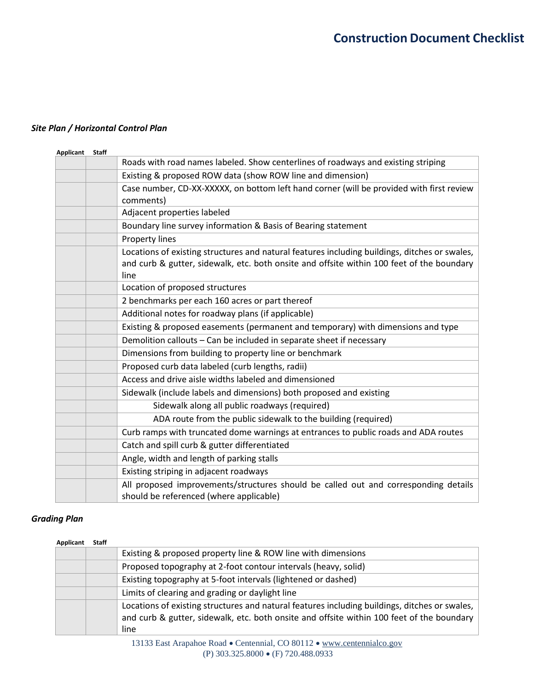## *Site Plan / Horizontal Control Plan*

|                  |       | <b>Construction Document Checklist</b>                                                                                                                                                     |
|------------------|-------|--------------------------------------------------------------------------------------------------------------------------------------------------------------------------------------------|
|                  |       |                                                                                                                                                                                            |
|                  |       |                                                                                                                                                                                            |
|                  |       |                                                                                                                                                                                            |
|                  |       |                                                                                                                                                                                            |
|                  |       |                                                                                                                                                                                            |
|                  |       |                                                                                                                                                                                            |
|                  |       | lan / Horizontal Control Plan                                                                                                                                                              |
|                  | Staff |                                                                                                                                                                                            |
| <b>Applicant</b> |       | Roads with road names labeled. Show centerlines of roadways and existing striping                                                                                                          |
|                  |       | Existing & proposed ROW data (show ROW line and dimension)                                                                                                                                 |
|                  |       | Case number, CD-XX-XXXXX, on bottom left hand corner (will be provided with first review                                                                                                   |
|                  |       | comments)                                                                                                                                                                                  |
|                  |       | Adjacent properties labeled                                                                                                                                                                |
|                  |       | Boundary line survey information & Basis of Bearing statement                                                                                                                              |
|                  |       | <b>Property lines</b>                                                                                                                                                                      |
|                  |       | Locations of existing structures and natural features including buildings, ditches or swales,                                                                                              |
|                  |       | and curb & gutter, sidewalk, etc. both onsite and offsite within 100 feet of the boundary                                                                                                  |
|                  |       | line                                                                                                                                                                                       |
|                  |       | Location of proposed structures                                                                                                                                                            |
|                  |       | 2 benchmarks per each 160 acres or part thereof                                                                                                                                            |
|                  |       | Additional notes for roadway plans (if applicable)                                                                                                                                         |
|                  |       | Existing & proposed easements (permanent and temporary) with dimensions and type                                                                                                           |
|                  |       | Demolition callouts - Can be included in separate sheet if necessary                                                                                                                       |
|                  |       | Dimensions from building to property line or benchmark                                                                                                                                     |
|                  |       | Proposed curb data labeled (curb lengths, radii)                                                                                                                                           |
|                  |       | Access and drive aisle widths labeled and dimensioned                                                                                                                                      |
|                  |       | Sidewalk (include labels and dimensions) both proposed and existing                                                                                                                        |
|                  |       | Sidewalk along all public roadways (required)                                                                                                                                              |
|                  |       | ADA route from the public sidewalk to the building (required)                                                                                                                              |
|                  |       | Curb ramps with truncated dome warnings at entrances to public roads and ADA routes                                                                                                        |
|                  |       | Catch and spill curb & gutter differentiated                                                                                                                                               |
|                  |       | Angle, width and length of parking stalls                                                                                                                                                  |
|                  |       | Existing striping in adjacent roadways                                                                                                                                                     |
|                  |       | All proposed improvements/structures should be called out and corresponding details                                                                                                        |
|                  |       | should be referenced (where applicable)                                                                                                                                                    |
|                  |       |                                                                                                                                                                                            |
| ng Plan          |       |                                                                                                                                                                                            |
|                  |       |                                                                                                                                                                                            |
| <b>Applicant</b> | Staff | Existing & proposed property line & ROW line with dimensions                                                                                                                               |
|                  |       |                                                                                                                                                                                            |
|                  |       | Proposed topography at 2-foot contour intervals (heavy, solid)                                                                                                                             |
|                  |       | Existing topography at 5-foot intervals (lightened or dashed)                                                                                                                              |
|                  |       | Limits of clearing and grading or daylight line                                                                                                                                            |
|                  |       | Locations of existing structures and natural features including buildings, ditches or swales,<br>and curb & gutter, sidewalk, etc. both onsite and offsite within 100 feet of the boundary |
|                  |       | line                                                                                                                                                                                       |
|                  |       | 13133 East Arapahoe Road · Centennial, CO 80112 · www.centennialco.gov                                                                                                                     |
|                  |       | (P) 303.325.8000 • (F) 720.488.0933                                                                                                                                                        |

## *Grading Plan*

### **Applicant Staff**

|  | Existing & proposed property line & ROW line with dimensions                                                                                                                                       |
|--|----------------------------------------------------------------------------------------------------------------------------------------------------------------------------------------------------|
|  | Proposed topography at 2-foot contour intervals (heavy, solid)                                                                                                                                     |
|  | Existing topography at 5-foot intervals (lightened or dashed)                                                                                                                                      |
|  | Limits of clearing and grading or daylight line                                                                                                                                                    |
|  | Locations of existing structures and natural features including buildings, ditches or swales,<br>and curb & gutter, sidewalk, etc. both onsite and offsite within 100 feet of the boundary<br>line |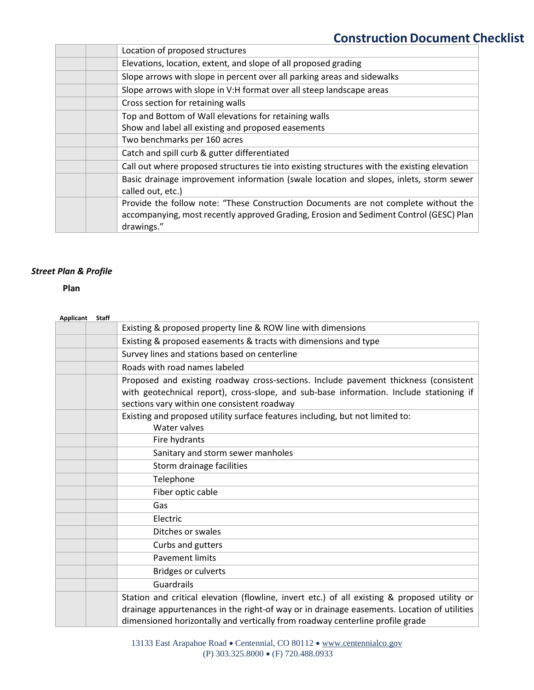| Elevations, location, extent, and slope of all proposed grading<br>Slope arrows with slope in percent over all parking areas and sidewalks<br>Slope arrows with slope in V:H format over all steep landscape areas<br>Cross section for retaining walls<br>Top and Bottom of Wall elevations for retaining walls<br>Show and label all existing and proposed easements<br>Two benchmarks per 160 acres<br>Catch and spill curb & gutter differentiated<br>Call out where proposed structures tie into existing structures with the existing elevation<br>Basic drainage improvement information (swale location and slopes, inlets, storm sewer<br>called out, etc.)<br>Provide the follow note: "These Construction Documents are not complete without the<br>accompanying, most recently approved Grading, Erosion and Sediment Control (GESC) Plan<br>drawings." | Location of proposed structures |
|---------------------------------------------------------------------------------------------------------------------------------------------------------------------------------------------------------------------------------------------------------------------------------------------------------------------------------------------------------------------------------------------------------------------------------------------------------------------------------------------------------------------------------------------------------------------------------------------------------------------------------------------------------------------------------------------------------------------------------------------------------------------------------------------------------------------------------------------------------------------|---------------------------------|
|                                                                                                                                                                                                                                                                                                                                                                                                                                                                                                                                                                                                                                                                                                                                                                                                                                                                     |                                 |
|                                                                                                                                                                                                                                                                                                                                                                                                                                                                                                                                                                                                                                                                                                                                                                                                                                                                     |                                 |
|                                                                                                                                                                                                                                                                                                                                                                                                                                                                                                                                                                                                                                                                                                                                                                                                                                                                     |                                 |
|                                                                                                                                                                                                                                                                                                                                                                                                                                                                                                                                                                                                                                                                                                                                                                                                                                                                     |                                 |
|                                                                                                                                                                                                                                                                                                                                                                                                                                                                                                                                                                                                                                                                                                                                                                                                                                                                     |                                 |
|                                                                                                                                                                                                                                                                                                                                                                                                                                                                                                                                                                                                                                                                                                                                                                                                                                                                     |                                 |
|                                                                                                                                                                                                                                                                                                                                                                                                                                                                                                                                                                                                                                                                                                                                                                                                                                                                     |                                 |
|                                                                                                                                                                                                                                                                                                                                                                                                                                                                                                                                                                                                                                                                                                                                                                                                                                                                     |                                 |
|                                                                                                                                                                                                                                                                                                                                                                                                                                                                                                                                                                                                                                                                                                                                                                                                                                                                     |                                 |
|                                                                                                                                                                                                                                                                                                                                                                                                                                                                                                                                                                                                                                                                                                                                                                                                                                                                     |                                 |
|                                                                                                                                                                                                                                                                                                                                                                                                                                                                                                                                                                                                                                                                                                                                                                                                                                                                     |                                 |
|                                                                                                                                                                                                                                                                                                                                                                                                                                                                                                                                                                                                                                                                                                                                                                                                                                                                     |                                 |
|                                                                                                                                                                                                                                                                                                                                                                                                                                                                                                                                                                                                                                                                                                                                                                                                                                                                     |                                 |
|                                                                                                                                                                                                                                                                                                                                                                                                                                                                                                                                                                                                                                                                                                                                                                                                                                                                     |                                 |

## *Street Plan & Profile*

|           |                | <b>Construction Document Checklist</b>                                                                                                                                                      |
|-----------|----------------|---------------------------------------------------------------------------------------------------------------------------------------------------------------------------------------------|
|           |                | Location of proposed structures                                                                                                                                                             |
|           |                | Elevations, location, extent, and slope of all proposed grading                                                                                                                             |
|           |                | Slope arrows with slope in percent over all parking areas and sidewalks                                                                                                                     |
|           |                | Slope arrows with slope in V:H format over all steep landscape areas                                                                                                                        |
|           |                | Cross section for retaining walls                                                                                                                                                           |
|           |                | Top and Bottom of Wall elevations for retaining walls                                                                                                                                       |
|           |                | Show and label all existing and proposed easements                                                                                                                                          |
|           |                | Two benchmarks per 160 acres                                                                                                                                                                |
|           |                | Catch and spill curb & gutter differentiated                                                                                                                                                |
|           |                | Call out where proposed structures tie into existing structures with the existing elevation                                                                                                 |
|           |                | Basic drainage improvement information (swale location and slopes, inlets, storm sewer<br>called out, etc.)                                                                                 |
|           |                | Provide the follow note: "These Construction Documents are not complete without the<br>accompanying, most recently approved Grading, Erosion and Sediment Control (GESC) Plan<br>drawings." |
|           | Plan & Profile |                                                                                                                                                                                             |
|           |                |                                                                                                                                                                                             |
| Plan      |                |                                                                                                                                                                                             |
|           |                |                                                                                                                                                                                             |
| Applicant | Staff          |                                                                                                                                                                                             |
|           |                | Existing & proposed property line & ROW line with dimensions                                                                                                                                |
|           |                | Existing & proposed easements & tracts with dimensions and type                                                                                                                             |
|           |                | Survey lines and stations based on centerline                                                                                                                                               |
|           |                | Roads with road names labeled                                                                                                                                                               |
|           |                | Proposed and existing roadway cross-sections. Include pavement thickness (consistent                                                                                                        |
|           |                | with geotechnical report), cross-slope, and sub-base information. Include stationing if                                                                                                     |
|           |                | sections vary within one consistent roadway                                                                                                                                                 |
|           |                | Existing and proposed utility surface features including, but not limited to:<br>Water valves                                                                                               |
|           |                | Fire hydrants                                                                                                                                                                               |
|           |                | Sanitary and storm sewer manholes                                                                                                                                                           |
|           |                | Storm drainage facilities                                                                                                                                                                   |
|           |                | Telephone                                                                                                                                                                                   |
|           |                | Fiber optic cable                                                                                                                                                                           |
|           |                | Gas                                                                                                                                                                                         |
|           |                | Electric                                                                                                                                                                                    |
|           |                | Ditches or swales                                                                                                                                                                           |
|           |                | Curbs and gutters                                                                                                                                                                           |
|           |                | <b>Pavement limits</b>                                                                                                                                                                      |
|           |                | <b>Bridges or culverts</b>                                                                                                                                                                  |
|           |                | <b>Guardrails</b>                                                                                                                                                                           |
|           |                | Station and critical elevation (flowline, invert etc.) of all existing & proposed utility or                                                                                                |
|           |                | drainage appurtenances in the right-of way or in drainage easements. Location of utilities<br>dimensioned horizontally and vertically from roadway centerline profile grade                 |
|           |                | 13133 East Arapahoe Road · Centennial, CO 80112 · www.centennialco.gov<br>(P) 303.325.8000 • (F) 720.488.0933                                                                               |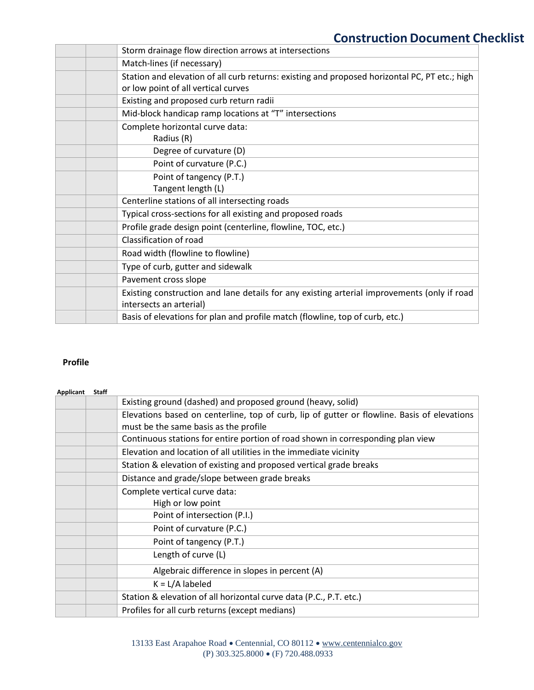|                                   | <b>Construction Document Checklist</b>                                                                                                                            |
|-----------------------------------|-------------------------------------------------------------------------------------------------------------------------------------------------------------------|
|                                   | Storm drainage flow direction arrows at intersections                                                                                                             |
|                                   | Match-lines (if necessary)                                                                                                                                        |
|                                   | Station and elevation of all curb returns: existing and proposed horizontal PC, PT etc.; high<br>or low point of all vertical curves                              |
|                                   | Existing and proposed curb return radii                                                                                                                           |
|                                   | Mid-block handicap ramp locations at "T" intersections                                                                                                            |
|                                   | Complete horizontal curve data:                                                                                                                                   |
|                                   | Radius (R)                                                                                                                                                        |
|                                   | Degree of curvature (D)                                                                                                                                           |
|                                   | Point of curvature (P.C.)                                                                                                                                         |
|                                   | Point of tangency (P.T.)                                                                                                                                          |
|                                   | Tangent length (L)                                                                                                                                                |
|                                   | Centerline stations of all intersecting roads                                                                                                                     |
|                                   | Typical cross-sections for all existing and proposed roads                                                                                                        |
|                                   | Profile grade design point (centerline, flowline, TOC, etc.)                                                                                                      |
|                                   | Classification of road                                                                                                                                            |
|                                   | Road width (flowline to flowline)                                                                                                                                 |
|                                   | Type of curb, gutter and sidewalk                                                                                                                                 |
|                                   | Pavement cross slope                                                                                                                                              |
|                                   |                                                                                                                                                                   |
|                                   | Existing construction and lane details for any existing arterial improvements (only if road<br>intersects an arterial)                                            |
|                                   | Basis of elevations for plan and profile match (flowline, top of curb, etc.)                                                                                      |
|                                   |                                                                                                                                                                   |
|                                   | Existing ground (dashed) and proposed ground (heavy, solid)                                                                                                       |
|                                   | must be the same basis as the profile                                                                                                                             |
|                                   | Continuous stations for entire portion of road shown in corresponding plan view                                                                                   |
|                                   | Elevation and location of all utilities in the immediate vicinity                                                                                                 |
|                                   | Elevations based on centerline, top of curb, lip of gutter or flowline. Basis of elevations<br>Station & elevation of existing and proposed vertical grade breaks |
|                                   | Distance and grade/slope between grade breaks                                                                                                                     |
|                                   | Complete vertical curve data:                                                                                                                                     |
|                                   | High or low point                                                                                                                                                 |
|                                   | Point of intersection (P.I.)                                                                                                                                      |
|                                   | Point of curvature (P.C.)                                                                                                                                         |
|                                   | Point of tangency (P.T.)                                                                                                                                          |
|                                   | Length of curve (L)                                                                                                                                               |
|                                   | Algebraic difference in slopes in percent (A)                                                                                                                     |
| <b>Profile</b><br>Applicant Staff | $K = L/A$ labeled                                                                                                                                                 |
|                                   | Station & elevation of all horizontal curve data (P.C., P.T. etc.)                                                                                                |

## **Profile**

| Applicant | <b>Staff</b> |                                                                                             |
|-----------|--------------|---------------------------------------------------------------------------------------------|
|           |              | Existing ground (dashed) and proposed ground (heavy, solid)                                 |
|           |              | Elevations based on centerline, top of curb, lip of gutter or flowline. Basis of elevations |
|           |              | must be the same basis as the profile                                                       |
|           |              | Continuous stations for entire portion of road shown in corresponding plan view             |
|           |              | Elevation and location of all utilities in the immediate vicinity                           |
|           |              | Station & elevation of existing and proposed vertical grade breaks                          |
|           |              | Distance and grade/slope between grade breaks                                               |
|           |              | Complete vertical curve data:                                                               |
|           |              | High or low point                                                                           |
|           |              | Point of intersection (P.I.)                                                                |
|           |              | Point of curvature (P.C.)                                                                   |
|           |              | Point of tangency (P.T.)                                                                    |
|           |              | Length of curve (L)                                                                         |
|           |              | Algebraic difference in slopes in percent (A)                                               |
|           |              | $K = L/A$ labeled                                                                           |
|           |              | Station & elevation of all horizontal curve data (P.C., P.T. etc.)                          |
|           |              | Profiles for all curb returns (except medians)                                              |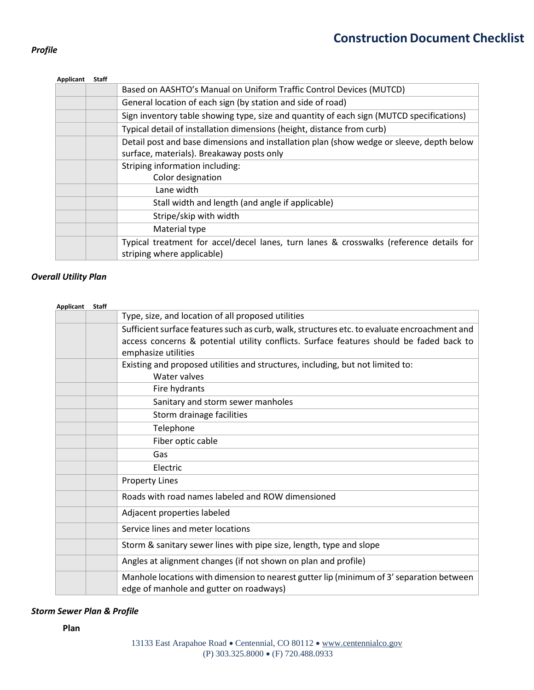## *Profile*

| Based on AASHTO's Manual on Uniform Traffic Control Devices (MUTCD)<br>General location of each sign (by station and side of road)<br>Sign inventory table showing type, size and quantity of each sign (MUTCD specifications)<br>Typical detail of installation dimensions (height, distance from curb)<br>Detail post and base dimensions and installation plan (show wedge or sleeve, depth below<br>surface, materials). Breakaway posts only<br>Striping information including:<br>Color designation<br>Lane width<br>Stall width and length (and angle if applicable)<br>Stripe/skip with width<br>Material type<br>Typical treatment for accel/decel lanes, turn lanes & crosswalks (reference details for<br>striping where applicable) | <b>Applicant</b> | <b>Staff</b> |  |
|-------------------------------------------------------------------------------------------------------------------------------------------------------------------------------------------------------------------------------------------------------------------------------------------------------------------------------------------------------------------------------------------------------------------------------------------------------------------------------------------------------------------------------------------------------------------------------------------------------------------------------------------------------------------------------------------------------------------------------------------------|------------------|--------------|--|
|                                                                                                                                                                                                                                                                                                                                                                                                                                                                                                                                                                                                                                                                                                                                                 |                  |              |  |
|                                                                                                                                                                                                                                                                                                                                                                                                                                                                                                                                                                                                                                                                                                                                                 |                  |              |  |
|                                                                                                                                                                                                                                                                                                                                                                                                                                                                                                                                                                                                                                                                                                                                                 |                  |              |  |
|                                                                                                                                                                                                                                                                                                                                                                                                                                                                                                                                                                                                                                                                                                                                                 |                  |              |  |
|                                                                                                                                                                                                                                                                                                                                                                                                                                                                                                                                                                                                                                                                                                                                                 |                  |              |  |
|                                                                                                                                                                                                                                                                                                                                                                                                                                                                                                                                                                                                                                                                                                                                                 |                  |              |  |
|                                                                                                                                                                                                                                                                                                                                                                                                                                                                                                                                                                                                                                                                                                                                                 |                  |              |  |
|                                                                                                                                                                                                                                                                                                                                                                                                                                                                                                                                                                                                                                                                                                                                                 |                  |              |  |
|                                                                                                                                                                                                                                                                                                                                                                                                                                                                                                                                                                                                                                                                                                                                                 |                  |              |  |
|                                                                                                                                                                                                                                                                                                                                                                                                                                                                                                                                                                                                                                                                                                                                                 |                  |              |  |
|                                                                                                                                                                                                                                                                                                                                                                                                                                                                                                                                                                                                                                                                                                                                                 |                  |              |  |
|                                                                                                                                                                                                                                                                                                                                                                                                                                                                                                                                                                                                                                                                                                                                                 |                  |              |  |
|                                                                                                                                                                                                                                                                                                                                                                                                                                                                                                                                                                                                                                                                                                                                                 |                  |              |  |
|                                                                                                                                                                                                                                                                                                                                                                                                                                                                                                                                                                                                                                                                                                                                                 |                  |              |  |

#### *Overall Utility Plan*

| <b>Applicant</b>                | Staff | Based on AASHTO's Manual on Uniform Traffic Control Devices (MUTCD)                                                                                     |
|---------------------------------|-------|---------------------------------------------------------------------------------------------------------------------------------------------------------|
|                                 |       |                                                                                                                                                         |
|                                 |       | General location of each sign (by station and side of road)<br>Sign inventory table showing type, size and quantity of each sign (MUTCD specifications) |
|                                 |       | Typical detail of installation dimensions (height, distance from curb)                                                                                  |
|                                 |       | Detail post and base dimensions and installation plan (show wedge or sleeve, depth below                                                                |
|                                 |       | surface, materials). Breakaway posts only                                                                                                               |
|                                 |       | Striping information including:                                                                                                                         |
|                                 |       | Color designation                                                                                                                                       |
|                                 |       | Lane width                                                                                                                                              |
|                                 |       | Stall width and length (and angle if applicable)                                                                                                        |
|                                 |       | Stripe/skip with width                                                                                                                                  |
|                                 |       | Material type                                                                                                                                           |
|                                 |       | Typical treatment for accel/decel lanes, turn lanes & crosswalks (reference details for<br>striping where applicable)                                   |
|                                 |       |                                                                                                                                                         |
| Il Utility Plan                 |       |                                                                                                                                                         |
|                                 |       |                                                                                                                                                         |
| <b>Applicant</b>                | Staff |                                                                                                                                                         |
|                                 |       | Type, size, and location of all proposed utilities<br>Sufficient surface features such as curb, walk, structures etc. to evaluate encroachment and      |
|                                 |       | access concerns & potential utility conflicts. Surface features should be faded back to                                                                 |
|                                 |       | emphasize utilities                                                                                                                                     |
|                                 |       | Existing and proposed utilities and structures, including, but not limited to:                                                                          |
|                                 |       | Water valves                                                                                                                                            |
|                                 |       | Fire hydrants                                                                                                                                           |
|                                 |       | Sanitary and storm sewer manholes                                                                                                                       |
|                                 |       | Storm drainage facilities                                                                                                                               |
|                                 |       | Telephone                                                                                                                                               |
|                                 |       | Fiber optic cable                                                                                                                                       |
|                                 |       | Gas                                                                                                                                                     |
|                                 |       | Electric                                                                                                                                                |
|                                 |       | <b>Property Lines</b>                                                                                                                                   |
|                                 |       | Roads with road names labeled and ROW dimensioned                                                                                                       |
|                                 |       | Adjacent properties labeled                                                                                                                             |
|                                 |       | Service lines and meter locations                                                                                                                       |
|                                 |       | Storm & sanitary sewer lines with pipe size, length, type and slope                                                                                     |
|                                 |       | Angles at alignment changes (if not shown on plan and profile)                                                                                          |
|                                 |       | Manhole locations with dimension to nearest gutter lip (minimum of 3' separation between                                                                |
|                                 |       | edge of manhole and gutter on roadways)                                                                                                                 |
| <b>Sewer Plan &amp; Profile</b> |       |                                                                                                                                                         |
| Plan                            |       |                                                                                                                                                         |
|                                 |       | 13133 East Arapahoe Road • Centennial, CO 80112 • www.centennialco.gov                                                                                  |
|                                 |       | (P) 303.325.8000 • (F) 720.488.0933                                                                                                                     |

## *Storm Sewer Plan & Profile*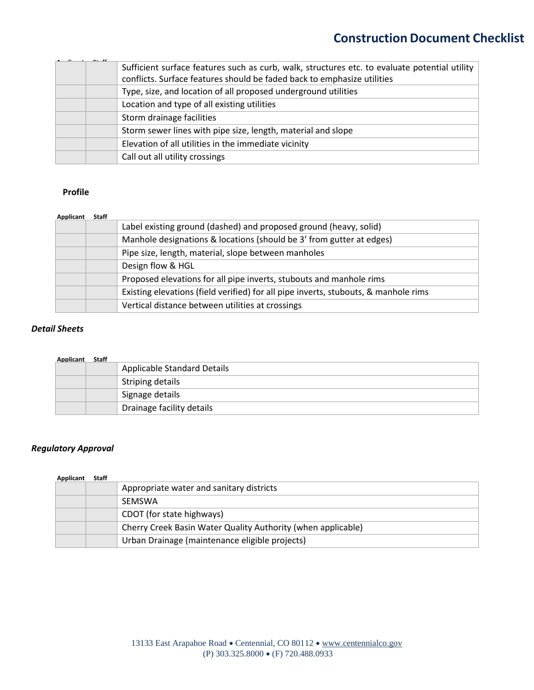|                                                     | Sufficient surface features such as curb, walk, structures etc. to evaluate potential utility |
|-----------------------------------------------------|-----------------------------------------------------------------------------------------------|
|                                                     | conflicts. Surface features should be faded back to emphasize utilities                       |
|                                                     | Type, size, and location of all proposed underground utilities                                |
|                                                     | Location and type of all existing utilities                                                   |
|                                                     | Storm drainage facilities                                                                     |
|                                                     | Storm sewer lines with pipe size, length, material and slope                                  |
|                                                     | Elevation of all utilities in the immediate vicinity                                          |
|                                                     | Call out all utility crossings                                                                |
|                                                     |                                                                                               |
| <b>Profile</b>                                      |                                                                                               |
|                                                     |                                                                                               |
| <b>Applicant</b>                                    | Staff                                                                                         |
|                                                     | Label existing ground (dashed) and proposed ground (heavy, solid)                             |
|                                                     | Manhole designations & locations (should be 3' from gutter at edges)                          |
|                                                     | Pipe size, length, material, slope between manholes                                           |
|                                                     | Design flow & HGL                                                                             |
|                                                     | Proposed elevations for all pipe inverts, stubouts and manhole rims                           |
|                                                     | Existing elevations (field verified) for all pipe inverts, stubouts, & manhole rims           |
|                                                     |                                                                                               |
|                                                     | Vertical distance between utilities at crossings                                              |
|                                                     | <b>Staff</b><br><b>Applicable Standard Details</b>                                            |
|                                                     | <b>Striping details</b>                                                                       |
|                                                     | Signage details                                                                               |
|                                                     | Drainage facility details                                                                     |
| <b>Sheets</b><br><b>Applicant</b><br>atory Approval |                                                                                               |
|                                                     | Staff                                                                                         |
|                                                     | Appropriate water and sanitary districts                                                      |
| Applicant                                           | SEMSWA                                                                                        |
|                                                     | CDOT (for state highways)                                                                     |
|                                                     | Cherry Creek Basin Water Quality Authority (when applicable)                                  |

### **Profile**

#### **Applicant Staff**

| Label existing ground (dashed) and proposed ground (heavy, solid)                   |
|-------------------------------------------------------------------------------------|
| Manhole designations & locations (should be 3' from gutter at edges)                |
| Pipe size, length, material, slope between manholes                                 |
| Design flow & HGL                                                                   |
| Proposed elevations for all pipe inverts, stubouts and manhole rims                 |
| Existing elevations (field verified) for all pipe inverts, stubouts, & manhole rims |
| Vertical distance between utilities at crossings                                    |

## *Detail Sheets*

| <b>Applicant Staff</b> |                                    |
|------------------------|------------------------------------|
|                        | <b>Applicable Standard Details</b> |
|                        | Striping details                   |
|                        | Signage details                    |
|                        | Drainage facility details          |

## *Regulatory Approval*

#### **Applicant Staff**

|  | Appropriate water and sanitary districts                     |
|--|--------------------------------------------------------------|
|  | <b>SFMSWA</b>                                                |
|  | CDOT (for state highways)                                    |
|  | Cherry Creek Basin Water Quality Authority (when applicable) |
|  | Urban Drainage (maintenance eligible projects)               |